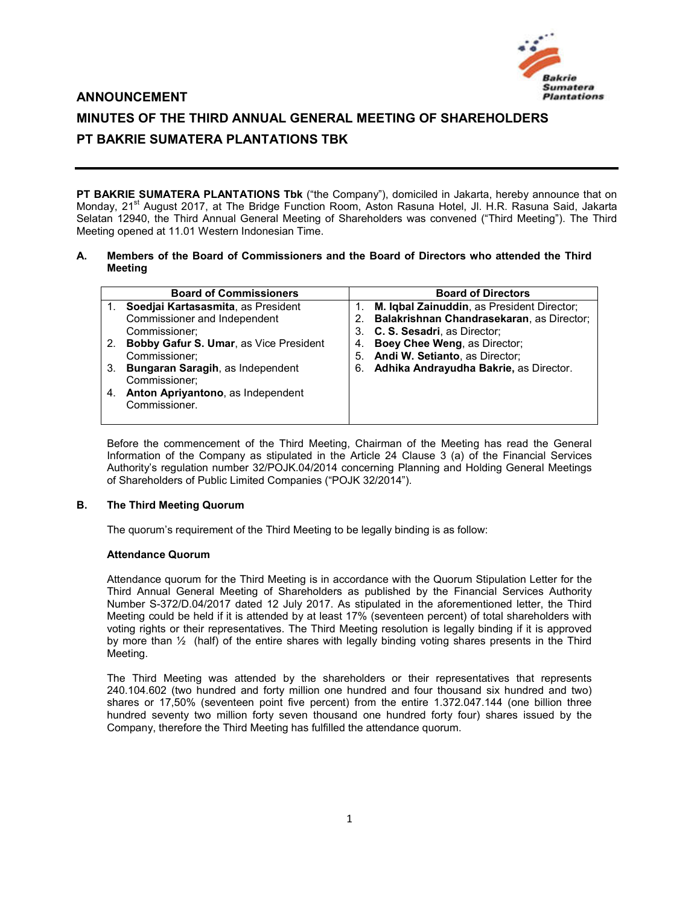

# **ANNOUNCEMENT**

# **MINUTES OF THE THIRD ANNUAL GENERAL MEETING OF SHAREHOLDERS PT BAKRIE SUMATERA PLANTATIONS TBK**

**PT BAKRIE SUMATERA PLANTATIONS Tbk** ("the Company"), domiciled in Jakarta, hereby announce that on Monday, 21<sup>st</sup> August 2017, at The Bridge Function Room, Aston Rasuna Hotel, Jl. H.R. Rasuna Said, Jakarta Selatan 12940, the Third Annual General Meeting of Shareholders was convened ("Third Meeting"). The Third Meeting opened at 11.01 Western Indonesian Time.

#### **A. Members of the Board of Commissioners and the Board of Directors who attended the Third Meeting**

|    | <b>Board of Commissioners</b>          |    | <b>Board of Directors</b>                  |
|----|----------------------------------------|----|--------------------------------------------|
|    | Soedjai Kartasasmita, as President     |    | M. Igbal Zainuddin, as President Director; |
|    | Commissioner and Independent           |    | Balakrishnan Chandrasekaran, as Director;  |
|    | Commissioner;                          | 3. | C. S. Sesadri, as Director;                |
| 2. | Bobby Gafur S. Umar, as Vice President |    | Boey Chee Weng, as Director;               |
|    | Commissioner;                          |    | 5. Andi W. Setianto, as Director;          |
| 3. | Bungaran Saragih, as Independent       |    | 6. Adhika Andrayudha Bakrie, as Director.  |
|    | Commissioner;                          |    |                                            |
|    | Anton Apriyantono, as Independent      |    |                                            |
|    | Commissioner.                          |    |                                            |
|    |                                        |    |                                            |

Before the commencement of the Third Meeting, Chairman of the Meeting has read the General Information of the Company as stipulated in the Article 24 Clause 3 (a) of the Financial Services Authority's regulation number 32/POJK.04/2014 concerning Planning and Holding General Meetings of Shareholders of Public Limited Companies ("POJK 32/2014").

## **B. The Third Meeting Quorum**

The quorum's requirement of the Third Meeting to be legally binding is as follow:

## **Attendance Quorum**

Attendance quorum for the Third Meeting is in accordance with the Quorum Stipulation Letter for the Third Annual General Meeting of Shareholders as published by the Financial Services Authority Number S-372/D.04/2017 dated 12 July 2017. As stipulated in the aforementioned letter, the Third Meeting could be held if it is attended by at least 17% (seventeen percent) of total shareholders with voting rights or their representatives. The Third Meeting resolution is legally binding if it is approved by more than ½ (half) of the entire shares with legally binding voting shares presents in the Third Meeting.

The Third Meeting was attended by the shareholders or their representatives that represents 240.104.602 (two hundred and forty million one hundred and four thousand six hundred and two) shares or 17,50% (seventeen point five percent) from the entire 1.372.047.144 (one billion three hundred seventy two million forty seven thousand one hundred forty four) shares issued by the Company, therefore the Third Meeting has fulfilled the attendance quorum.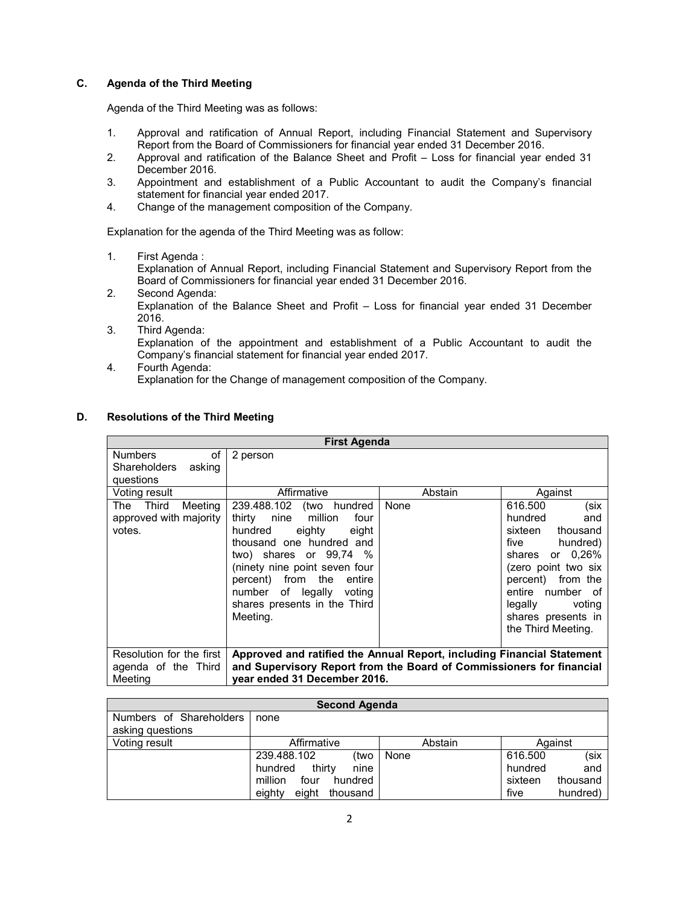## **C. Agenda of the Third Meeting**

Agenda of the Third Meeting was as follows:

- 1. Approval and ratification of Annual Report, including Financial Statement and Supervisory Report from the Board of Commissioners for financial year ended 31 December 2016.
- 2. Approval and ratification of the Balance Sheet and Profit Loss for financial year ended 31 December 2016.
- 3. Appointment and establishment of a Public Accountant to audit the Company's financial statement for financial year ended 2017.
- 4. Change of the management composition of the Company.

Explanation for the agenda of the Third Meeting was as follow:

1. First Agenda :

Explanation of Annual Report, including Financial Statement and Supervisory Report from the Board of Commissioners for financial year ended 31 December 2016.

- 2. Second Agenda: Explanation of the Balance Sheet and Profit – Loss for financial year ended 31 December 2016.
- 3. Third Agenda: Explanation of the appointment and establishment of a Public Accountant to audit the Company's financial statement for financial year ended 2017.
- 4. Fourth Agenda: Explanation for the Change of management composition of the Company.

| <b>First Agenda</b>                                                |                                                                                                                                                                                                                                                                                             |         |                                                                                                                                                                                                                                  |
|--------------------------------------------------------------------|---------------------------------------------------------------------------------------------------------------------------------------------------------------------------------------------------------------------------------------------------------------------------------------------|---------|----------------------------------------------------------------------------------------------------------------------------------------------------------------------------------------------------------------------------------|
| <b>Numbers</b><br>of<br><b>Shareholders</b><br>asking<br>questions | 2 person                                                                                                                                                                                                                                                                                    |         |                                                                                                                                                                                                                                  |
| Voting result                                                      | Affirmative                                                                                                                                                                                                                                                                                 | Abstain | Against                                                                                                                                                                                                                          |
| Third<br>Meeting<br>The<br>approved with majority<br>votes.        | 239.488.102 (two hundred<br>million<br>four<br>thirty<br>nine<br>hundred<br>eighty<br>eight<br>thousand one hundred and<br>two) shares or $99.74\%$<br>(ninety nine point seven four<br>percent) from the entire<br>of legally voting<br>number<br>shares presents in the Third<br>Meeting. | None    | 616,500<br>(six<br>hundred<br>and<br>sixteen<br>thousand<br>hundred)<br>five<br>shares or 0,26%<br>(zero point two six<br>percent) from the<br>entire number of<br>voting<br>legally<br>shares presents in<br>the Third Meeting. |
| Resolution for the first<br>agenda of the Third<br>Meeting         | Approved and ratified the Annual Report, including Financial Statement<br>and Supervisory Report from the Board of Commissioners for financial<br>year ended 31 December 2016.                                                                                                              |         |                                                                                                                                                                                                                                  |

#### **D. Resolutions of the Third Meeting**

| <b>Second Agenda</b>    |                             |         |         |          |  |
|-------------------------|-----------------------------|---------|---------|----------|--|
| Numbers of Shareholders | none                        |         |         |          |  |
| asking questions        |                             |         |         |          |  |
| Voting result           | Affirmative                 | Abstain |         | Against  |  |
|                         | 239.488.102<br>(two         | None    | 616.500 | (six     |  |
|                         | thirty<br>nine<br>hundred   |         | hundred | and      |  |
|                         | million<br>four<br>hundred  |         | sixteen | thousand |  |
|                         | eight<br>eighty<br>thousand |         | five    | hundred) |  |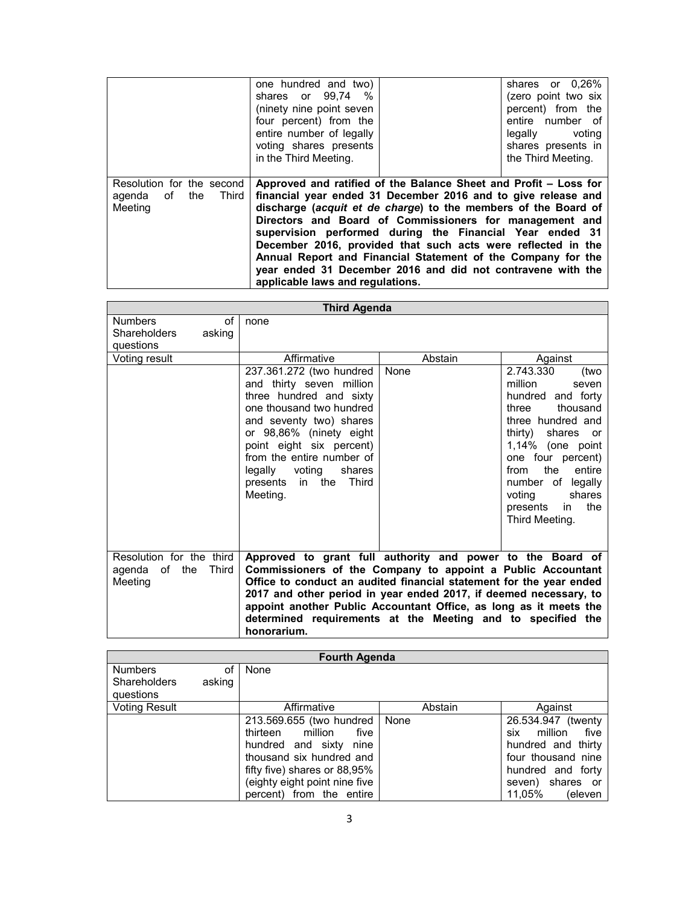|                                                                | one hundred and two)<br>shares or 99.74 %<br>(ninety nine point seven<br>four percent) from the<br>entire number of legally<br>voting shares presents<br>in the Third Meeting.                                                                                                                                                                                                                                                                                                                                                                                |  | shares or 0,26%<br>(zero point two six<br>percent) from the<br>entire number of<br>legally voting<br>shares presents in<br>the Third Meeting. |
|----------------------------------------------------------------|---------------------------------------------------------------------------------------------------------------------------------------------------------------------------------------------------------------------------------------------------------------------------------------------------------------------------------------------------------------------------------------------------------------------------------------------------------------------------------------------------------------------------------------------------------------|--|-----------------------------------------------------------------------------------------------------------------------------------------------|
| Resolution for the second<br>agenda of the<br>Third<br>Meeting | Approved and ratified of the Balance Sheet and Profit – Loss for<br>financial year ended 31 December 2016 and to give release and<br>discharge (acquit et de charge) to the members of the Board of<br>Directors and Board of Commissioners for management and<br>supervision performed during the Financial Year ended 31<br>December 2016, provided that such acts were reflected in the<br>Annual Report and Financial Statement of the Company for the<br>year ended 31 December 2016 and did not contravene with the<br>applicable laws and regulations. |  |                                                                                                                                               |

| <b>Third Agenda</b>                                           |                                                                                                                                                                                                                                                                                                                                                                                                                          |         |                                                                                                                                                                                                                                                                                    |  |
|---------------------------------------------------------------|--------------------------------------------------------------------------------------------------------------------------------------------------------------------------------------------------------------------------------------------------------------------------------------------------------------------------------------------------------------------------------------------------------------------------|---------|------------------------------------------------------------------------------------------------------------------------------------------------------------------------------------------------------------------------------------------------------------------------------------|--|
| <b>Numbers</b><br>of<br>Shareholders<br>asking<br>questions   | none                                                                                                                                                                                                                                                                                                                                                                                                                     |         |                                                                                                                                                                                                                                                                                    |  |
| Voting result                                                 | Affirmative                                                                                                                                                                                                                                                                                                                                                                                                              | Abstain | Against                                                                                                                                                                                                                                                                            |  |
|                                                               | 237.361.272 (two hundred<br>and thirty seven million<br>three hundred and sixty<br>one thousand two hundred<br>and seventy two) shares<br>or 98,86% (ninety eight<br>point eight six percent)<br>from the entire number of<br>legally voting<br>shares<br>presents in the Third<br>Meeting.                                                                                                                              | None    | 2.743.330<br>(two<br>million<br>seven<br>hundred and forty<br>thousand<br>three<br>three hundred and<br>thirty)<br>shares or<br>1,14% (one point<br>one four percent)<br>the<br>entire<br>from<br>number of legally<br>voting<br>shares<br>the<br>presents<br>in<br>Third Meeting. |  |
| Resolution for the third<br>Third<br>agenda of the<br>Meeting | Approved to grant full authority and power to the Board of<br>Commissioners of the Company to appoint a Public Accountant<br>Office to conduct an audited financial statement for the year ended<br>2017 and other period in year ended 2017, if deemed necessary, to<br>appoint another Public Accountant Office, as long as it meets the<br>determined requirements at the Meeting and to specified the<br>honorarium. |         |                                                                                                                                                                                                                                                                                    |  |

| <b>Fourth Agenda</b>                  |              |                                                                                                                                                                                                                  |         |                                                                                                                                                               |
|---------------------------------------|--------------|------------------------------------------------------------------------------------------------------------------------------------------------------------------------------------------------------------------|---------|---------------------------------------------------------------------------------------------------------------------------------------------------------------|
| <b>Numbers</b><br><b>Shareholders</b> | οf<br>asking | None                                                                                                                                                                                                             |         |                                                                                                                                                               |
| questions                             |              |                                                                                                                                                                                                                  |         |                                                                                                                                                               |
| <b>Voting Result</b>                  |              | Affirmative                                                                                                                                                                                                      | Abstain | Against                                                                                                                                                       |
|                                       |              | 213.569.655 (two hundred<br>thirteen<br>million<br>five<br>hundred and sixty<br>nine<br>thousand six hundred and<br>fifty five) shares or $88.95\%$<br>(eighty eight point nine five<br>percent) from the entire | None    | 26.534.947<br>(twenty)<br>million<br>five<br>six<br>hundred and thirty<br>four thousand nine<br>hundred and forty<br>shares or<br>seven)<br>11.05%<br>(eleven |